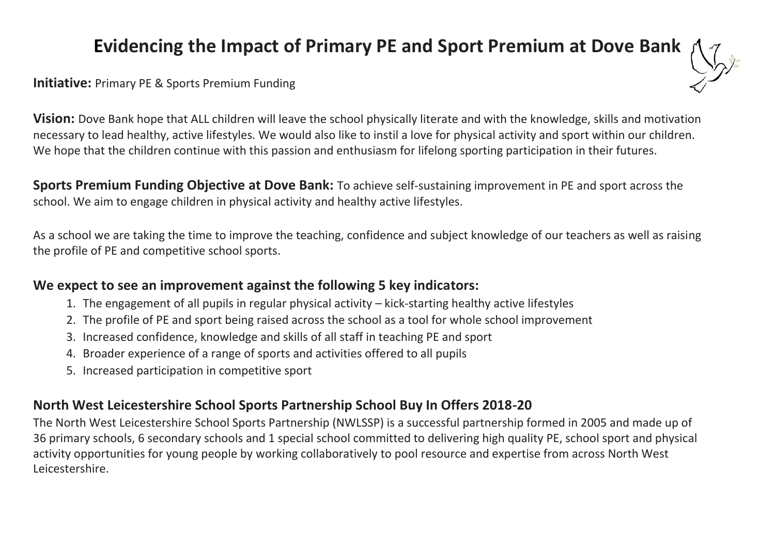# **Evidencing the Impact of Primary PE and Sport Premium at Dove Bank**



### **Initiative:** Primary PE & Sports Premium Funding

**Vision:** Dove Bank hope that ALL children will leave the school physically literate and with the knowledge, skills and motivation necessary to lead healthy, active lifestyles. We would also like to instil a love for physical activity and sport within our children. We hope that the children continue with this passion and enthusiasm for lifelong sporting participation in their futures.

**Sports Premium Funding Objective at Dove Bank:** To achieve self-sustaining improvement in PE and sport across the school. We aim to engage children in physical activity and healthy active lifestyles.

As a school we are taking the time to improve the teaching, confidence and subject knowledge of our teachers as well as raising the profile of PE and competitive school sports.

## **We expect to see an improvement against the following 5 key indicators:**

- 1. The engagement of all pupils in regular physical activity kick-starting healthy active lifestyles
- 2. The profile of PE and sport being raised across the school as a tool for whole school improvement
- 3. Increased confidence, knowledge and skills of all staff in teaching PE and sport
- 4. Broader experience of a range of sports and activities offered to all pupils
- 5. Increased participation in competitive sport

# **North West Leicestershire School Sports Partnership School Buy In Offers 2018-20**

The North West Leicestershire School Sports Partnership (NWLSSP) is a successful partnership formed in 2005 and made up of 36 primary schools, 6 secondary schools and 1 special school committed to delivering high quality PE, school sport and physical activity opportunities for young people by working collaboratively to pool resource and expertise from across North West Leicestershire.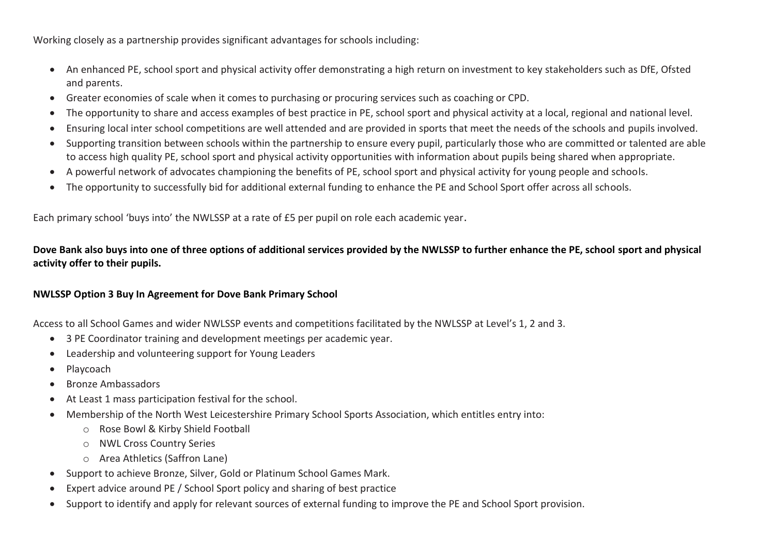Working closely as a partnership provides significant advantages for schools including:

- An enhanced PE, school sport and physical activity offer demonstrating a high return on investment to key stakeholders such as DfE, Ofsted and parents.
- Greater economies of scale when it comes to purchasing or procuring services such as coaching or CPD.
- The opportunity to share and access examples of best practice in PE, school sport and physical activity at a local, regional and national level.
- Ensuring local inter school competitions are well attended and are provided in sports that meet the needs of the schools and pupils involved.
- Supporting transition between schools within the partnership to ensure every pupil, particularly those who are committed or talented are able to access high quality PE, school sport and physical activity opportunities with information about pupils being shared when appropriate.
- A powerful network of advocates championing the benefits of PE, school sport and physical activity for young people and schools.
- The opportunity to successfully bid for additional external funding to enhance the PE and School Sport offer across all schools.

Each primary school 'buys into' the NWLSSP at a rate of £5 per pupil on role each academic year.

**Dove Bank also buys into one of three options of additional services provided by the NWLSSP to further enhance the PE, school sport and physical activity offer to their pupils.**

#### **NWLSSP Option 3 Buy In Agreement for Dove Bank Primary School**

Access to all School Games and wider NWLSSP events and competitions facilitated by the NWLSSP at Level's 1, 2 and 3.

- 3 PE Coordinator training and development meetings per academic year.
- Leadership and volunteering support for Young Leaders
- Playcoach
- Bronze Ambassadors
- At Least 1 mass participation festival for the school.
- Membership of the North West Leicestershire Primary School Sports Association, which entitles entry into:
	- o Rose Bowl & Kirby Shield Football
	- o NWL Cross Country Series
	- o Area Athletics (Saffron Lane)
- Support to achieve Bronze, Silver, Gold or Platinum School Games Mark.
- Expert advice around PE / School Sport policy and sharing of best practice
- Support to identify and apply for relevant sources of external funding to improve the PE and School Sport provision.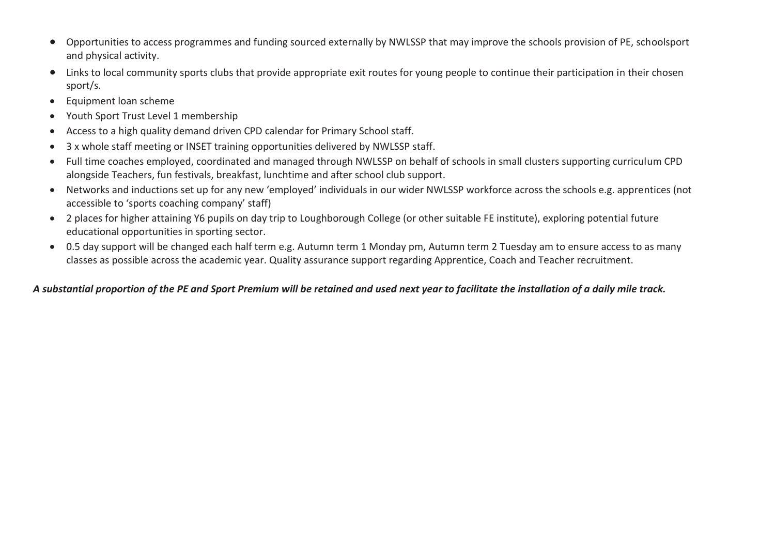- Opportunities to access programmes and funding sourced externally by NWLSSP that may improve the schools provision of PE, schoolsport and physical activity.
- Links to local community sports clubs that provide appropriate exit routes for young people to continue their participation in their chosen sport/s.
- Equipment loan scheme
- Youth Sport Trust Level 1 membership
- Access to a high quality demand driven CPD calendar for Primary School staff.
- 3 x whole staff meeting or INSET training opportunities delivered by NWLSSP staff.
- Full time coaches employed, coordinated and managed through NWLSSP on behalf of schools in small clusters supporting curriculum CPD alongside Teachers, fun festivals, breakfast, lunchtime and after school club support.
- Networks and inductions set up for any new 'employed' individuals in our wider NWLSSP workforce across the schools e.g. apprentices (not accessible to 'sports coaching company' staff)
- 2 places for higher attaining Y6 pupils on day trip to Loughborough College (or other suitable FE institute), exploring potential future educational opportunities in sporting sector.
- 0.5 day support will be changed each half term e.g. Autumn term 1 Monday pm, Autumn term 2 Tuesday am to ensure access to as many classes as possible across the academic year. Quality assurance support regarding Apprentice, Coach and Teacher recruitment.

### *A substantial proportion of the PE and Sport Premium will be retained and used next year to facilitate the installation of a daily mile track.*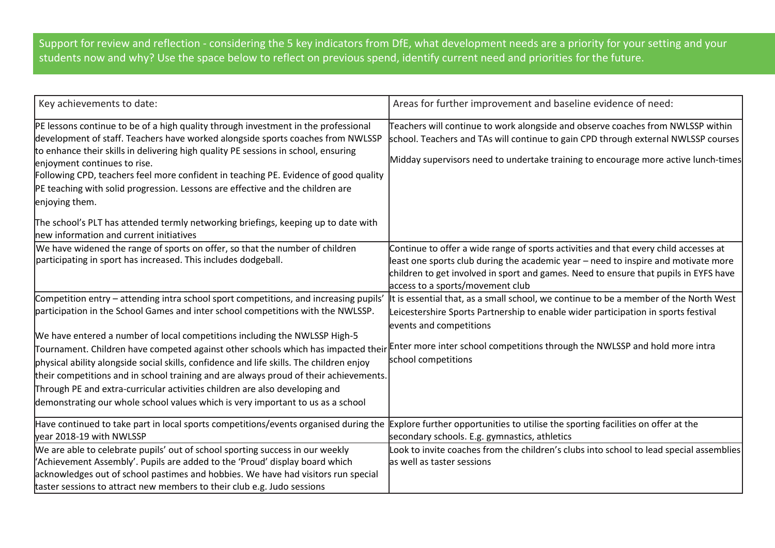Support for review and reflection - considering the 5 key indicators from DfE, what development needs are a priority for your setting and your students now and why? Use the space below to reflect on previous spend, identify current need and priorities for the future.

| Key achievements to date:                                                                                                                                                                                                                                                                                                                                                                                                                                                               | Areas for further improvement and baseline evidence of need:                                                                                                                                                                                                                                           |
|-----------------------------------------------------------------------------------------------------------------------------------------------------------------------------------------------------------------------------------------------------------------------------------------------------------------------------------------------------------------------------------------------------------------------------------------------------------------------------------------|--------------------------------------------------------------------------------------------------------------------------------------------------------------------------------------------------------------------------------------------------------------------------------------------------------|
| PE lessons continue to be of a high quality through investment in the professional<br>development of staff. Teachers have worked alongside sports coaches from NWLSSP<br>to enhance their skills in delivering high quality PE sessions in school, ensuring<br>enjoyment continues to rise.<br>Following CPD, teachers feel more confident in teaching PE. Evidence of good quality<br>PE teaching with solid progression. Lessons are effective and the children are<br>enjoying them. | Teachers will continue to work alongside and observe coaches from NWLSSP within<br>school. Teachers and TAs will continue to gain CPD through external NWLSSP courses<br>Midday supervisors need to undertake training to encourage more active lunch-times                                            |
| The school's PLT has attended termly networking briefings, keeping up to date with<br>new information and current initiatives                                                                                                                                                                                                                                                                                                                                                           |                                                                                                                                                                                                                                                                                                        |
| We have widened the range of sports on offer, so that the number of children<br>participating in sport has increased. This includes dodgeball.                                                                                                                                                                                                                                                                                                                                          | Continue to offer a wide range of sports activities and that every child accesses at<br>least one sports club during the academic year – need to inspire and motivate more<br>children to get involved in sport and games. Need to ensure that pupils in EYFS have<br>access to a sports/movement club |
| Competition entry - attending intra school sport competitions, and increasing pupils'<br>participation in the School Games and inter school competitions with the NWLSSP.                                                                                                                                                                                                                                                                                                               | It is essential that, as a small school, we continue to be a member of the North West<br>Leicestershire Sports Partnership to enable wider participation in sports festival<br>events and competitions                                                                                                 |
| We have entered a number of local competitions including the NWLSSP High-5<br>Tournament. Children have competed against other schools which has impacted their Enter more inter school competitions through the NWLSSP and hold more intra<br>physical ability alongside social skills, confidence and life skills. The children enjoy<br>their competitions and in school training and are always proud of their achievements.                                                        | school competitions                                                                                                                                                                                                                                                                                    |
| Through PE and extra-curricular activities children are also developing and<br>demonstrating our whole school values which is very important to us as a school                                                                                                                                                                                                                                                                                                                          |                                                                                                                                                                                                                                                                                                        |
| Have continued to take part in local sports competitions/events organised during the<br>year 2018-19 with NWLSSP                                                                                                                                                                                                                                                                                                                                                                        | Explore further opportunities to utilise the sporting facilities on offer at the<br>secondary schools. E.g. gymnastics, athletics                                                                                                                                                                      |
| We are able to celebrate pupils' out of school sporting success in our weekly<br>Achievement Assembly'. Pupils are added to the 'Proud' display board which<br>acknowledges out of school pastimes and hobbies. We have had visitors run special<br>taster sessions to attract new members to their club e.g. Judo sessions                                                                                                                                                             | Look to invite coaches from the children's clubs into school to lead special assemblies<br>as well as taster sessions                                                                                                                                                                                  |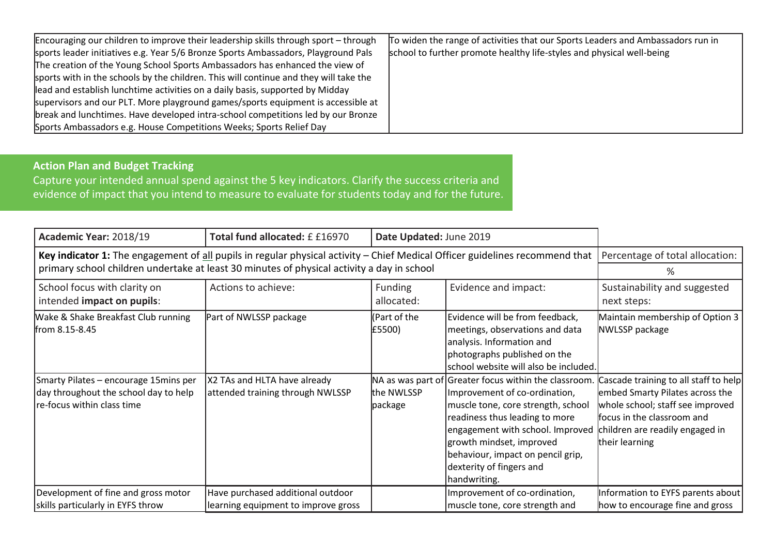| Encouraging our children to improve their leadership skills through sport – through   | To widen the range of activities that our Sports Leaders and Ambassadors run in |
|---------------------------------------------------------------------------------------|---------------------------------------------------------------------------------|
| sports leader initiatives e.g. Year 5/6 Bronze Sports Ambassadors, Playground Pals    | school to further promote healthy life-styles and physical well-being           |
| The creation of the Young School Sports Ambassadors has enhanced the view of          |                                                                                 |
| sports with in the schools by the children. This will continue and they will take the |                                                                                 |
| lead and establish lunchtime activities on a daily basis, supported by Midday         |                                                                                 |
| supervisors and our PLT. More playground games/sports equipment is accessible at      |                                                                                 |
| break and lunchtimes. Have developed intra-school competitions led by our Bronze      |                                                                                 |
| Sports Ambassadors e.g. House Competitions Weeks; Sports Relief Day                   |                                                                                 |

**Action Plan and Budget Tracking**

Capture your intended annual spend against the 5 key indicators. Clarify the success criteria and evidence of impact that you intend to measure to evaluate for students today and for the future.

| Academic Year: 2018/19                                                                                                           | Total fund allocated: £ £16970                                           | Date Updated: June 2019 |                                                                                                                                                                                                                                                                                                                 |                                                                                                                                                                                                 |
|----------------------------------------------------------------------------------------------------------------------------------|--------------------------------------------------------------------------|-------------------------|-----------------------------------------------------------------------------------------------------------------------------------------------------------------------------------------------------------------------------------------------------------------------------------------------------------------|-------------------------------------------------------------------------------------------------------------------------------------------------------------------------------------------------|
| Key indicator 1: The engagement of all pupils in regular physical activity – Chief Medical Officer guidelines recommend that $ $ |                                                                          |                         |                                                                                                                                                                                                                                                                                                                 | Percentage of total allocation:                                                                                                                                                                 |
| primary school children undertake at least 30 minutes of physical activity a day in school                                       |                                                                          |                         |                                                                                                                                                                                                                                                                                                                 | %                                                                                                                                                                                               |
| School focus with clarity on<br>intended impact on pupils:                                                                       | Actions to achieve:                                                      | Funding<br>allocated:   | Evidence and impact:                                                                                                                                                                                                                                                                                            | Sustainability and suggested<br>next steps:                                                                                                                                                     |
| Wake & Shake Breakfast Club running<br>from 8.15-8.45                                                                            | Part of NWLSSP package                                                   | (Part of the<br>£5500)  | Evidence will be from feedback,<br>meetings, observations and data<br>analysis. Information and<br>photographs published on the<br>school website will also be included.                                                                                                                                        | Maintain membership of Option 3<br>NWLSSP package                                                                                                                                               |
| Smarty Pilates - encourage 15mins per<br>day throughout the school day to help<br>re-focus within class time                     | X2 TAs and HLTA have already<br>attended training through NWLSSP         | the NWLSSP<br>package   | NA as was part of Greater focus within the classroom.<br>Improvement of co-ordination,<br>muscle tone, core strength, school<br>readiness thus leading to more<br>engagement with school. Improved<br>growth mindset, improved<br>behaviour, impact on pencil grip,<br>dexterity of fingers and<br>handwriting. | Cascade training to all staff to help<br>embed Smarty Pilates across the<br>whole school; staff see improved<br>focus in the classroom and<br>children are readily engaged in<br>their learning |
| Development of fine and gross motor<br>skills particularly in EYFS throw                                                         | Have purchased additional outdoor<br>learning equipment to improve gross |                         | Improvement of co-ordination,<br>muscle tone, core strength and                                                                                                                                                                                                                                                 | Information to EYFS parents about<br>how to encourage fine and gross                                                                                                                            |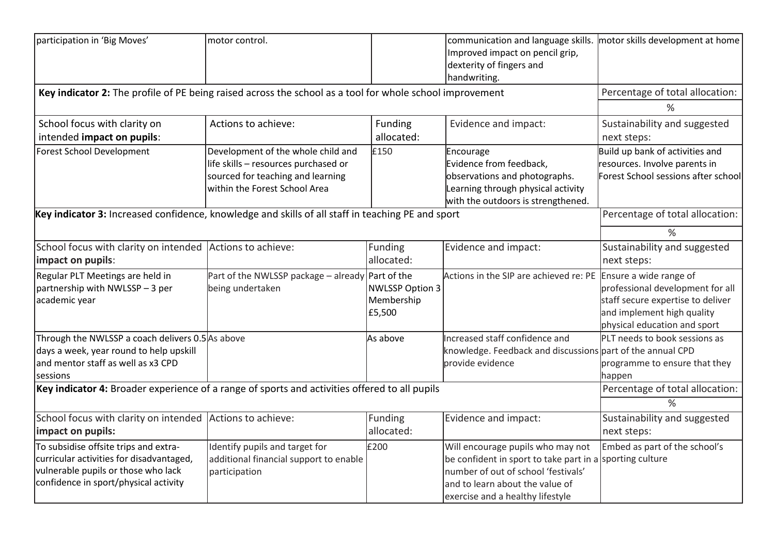| participation in 'Big Moves'                                                                                                                                      | motor control.                                                                                                                                   |                                                | communication and language skills.<br>Improved impact on pencil grip,<br>dexterity of fingers and<br>handwriting.                                                                                           | motor skills development at home                                                                                                    |
|-------------------------------------------------------------------------------------------------------------------------------------------------------------------|--------------------------------------------------------------------------------------------------------------------------------------------------|------------------------------------------------|-------------------------------------------------------------------------------------------------------------------------------------------------------------------------------------------------------------|-------------------------------------------------------------------------------------------------------------------------------------|
| Key indicator 2: The profile of PE being raised across the school as a tool for whole school improvement                                                          |                                                                                                                                                  | Percentage of total allocation:<br>%           |                                                                                                                                                                                                             |                                                                                                                                     |
| School focus with clarity on<br>intended impact on pupils:                                                                                                        | Actions to achieve:                                                                                                                              | Funding<br>allocated:                          | Evidence and impact:                                                                                                                                                                                        | Sustainability and suggested<br>next steps:                                                                                         |
| <b>Forest School Development</b>                                                                                                                                  | Development of the whole child and<br>life skills - resources purchased or<br>sourced for teaching and learning<br>within the Forest School Area | £150                                           | Encourage<br>Evidence from feedback,<br>observations and photographs.<br>Learning through physical activity<br>with the outdoors is strengthened.                                                           | Build up bank of activities and<br>resources. Involve parents in<br>Forest School sessions after school                             |
| Key indicator 3: Increased confidence, knowledge and skills of all staff in teaching PE and sport                                                                 |                                                                                                                                                  |                                                |                                                                                                                                                                                                             | Percentage of total allocation:<br>$\frac{9}{6}$                                                                                    |
| School focus with clarity on intended Actions to achieve:<br>impact on pupils:                                                                                    |                                                                                                                                                  | Funding<br>allocated:                          | Evidence and impact:                                                                                                                                                                                        | Sustainability and suggested<br>next steps:                                                                                         |
| Regular PLT Meetings are held in<br>partnership with NWLSSP - 3 per<br>academic year                                                                              | Part of the NWLSSP package – already Part of the<br>being undertaken                                                                             | <b>NWLSSP Option 3</b><br>Membership<br>£5,500 | Actions in the SIP are achieved re: PE Ensure a wide range of                                                                                                                                               | professional development for all<br>staff secure expertise to deliver<br>and implement high quality<br>physical education and sport |
| Through the NWLSSP a coach delivers 0.5 As above<br>days a week, year round to help upskill<br>and mentor staff as well as x3 CPD<br>sessions                     |                                                                                                                                                  | As above                                       | Increased staff confidence and<br>knowledge. Feedback and discussions part of the annual CPD<br>provide evidence                                                                                            | PLT needs to book sessions as<br>programme to ensure that they<br>happen                                                            |
| Key indicator 4: Broader experience of a range of sports and activities offered to all pupils                                                                     | Percentage of total allocation:<br>$\%$                                                                                                          |                                                |                                                                                                                                                                                                             |                                                                                                                                     |
| School focus with clarity on intended<br>impact on pupils:                                                                                                        | Actions to achieve:                                                                                                                              | Funding<br>allocated:                          | Evidence and impact:                                                                                                                                                                                        | Sustainability and suggested<br>next steps:                                                                                         |
| To subsidise offsite trips and extra-<br>curricular activities for disadvantaged,<br>vulnerable pupils or those who lack<br>confidence in sport/physical activity | Identify pupils and target for<br>additional financial support to enable<br>participation                                                        | £200                                           | Will encourage pupils who may not<br>be confident in sport to take part in a sporting culture<br>number of out of school 'festivals'<br>and to learn about the value of<br>exercise and a healthy lifestyle | Embed as part of the school's                                                                                                       |